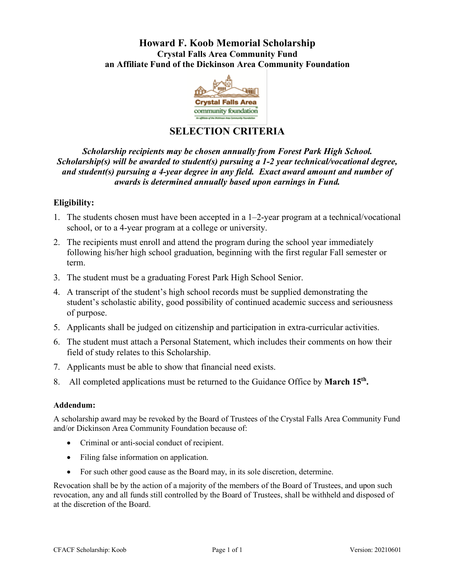## **Howard F. Koob Memorial Scholarship Crystal Falls Area Community Fund an Affiliate Fund of the Dickinson Area Community Foundation**



# **SELECTION CRITERIA**

*Scholarship recipients may be chosen annually from Forest Park High School. Scholarship(s) will be awarded to student(s) pursuing a 1-2 year technical/vocational degree, and student(s) pursuing a 4-year degree in any field. Exact award amount and number of awards is determined annually based upon earnings in Fund.*

### **Eligibility:**

- 1. The students chosen must have been accepted in a 1–2-year program at a technical/vocational school, or to a 4-year program at a college or university.
- 2. The recipients must enroll and attend the program during the school year immediately following his/her high school graduation, beginning with the first regular Fall semester or term.
- 3. The student must be a graduating Forest Park High School Senior.
- 4. A transcript of the student's high school records must be supplied demonstrating the student's scholastic ability, good possibility of continued academic success and seriousness of purpose.
- 5. Applicants shall be judged on citizenship and participation in extra-curricular activities.
- 6. The student must attach a Personal Statement, which includes their comments on how their field of study relates to this Scholarship.
- 7. Applicants must be able to show that financial need exists.
- 8. All completed applications must be returned to the Guidance Office by **March 15th.**

### **Addendum:**

A scholarship award may be revoked by the Board of Trustees of the Crystal Falls Area Community Fund and/or Dickinson Area Community Foundation because of:

- Criminal or anti-social conduct of recipient.
- Filing false information on application.
- For such other good cause as the Board may, in its sole discretion, determine.

Revocation shall be by the action of a majority of the members of the Board of Trustees, and upon such revocation, any and all funds still controlled by the Board of Trustees, shall be withheld and disposed of at the discretion of the Board.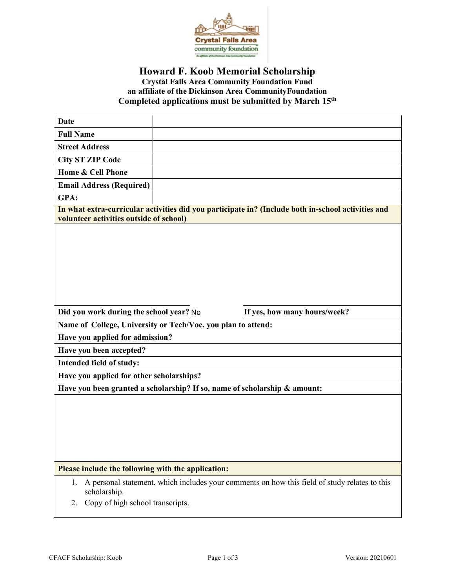

## **Howard F. Koob Memorial Scholarship Crystal Falls Area Community Foundation Fund an affiliate of the Dickinson Area CommunityFoundation Completed applications must be submitted by March 15th**

| <b>Date</b>                                                               |                                                                                                    |  |
|---------------------------------------------------------------------------|----------------------------------------------------------------------------------------------------|--|
| <b>Full Name</b>                                                          |                                                                                                    |  |
| <b>Street Address</b>                                                     |                                                                                                    |  |
| <b>City ST ZIP Code</b>                                                   |                                                                                                    |  |
| Home & Cell Phone                                                         |                                                                                                    |  |
| <b>Email Address (Required)</b>                                           |                                                                                                    |  |
| GPA:                                                                      |                                                                                                    |  |
| volunteer activities outside of school)                                   | In what extra-curricular activities did you participate in? (Include both in-school activities and |  |
|                                                                           |                                                                                                    |  |
|                                                                           |                                                                                                    |  |
| Did you work during the school year? No                                   | If yes, how many hours/week?                                                                       |  |
| Name of College, University or Tech/Voc. you plan to attend:              |                                                                                                    |  |
| Have you applied for admission?                                           |                                                                                                    |  |
| Have you been accepted?                                                   |                                                                                                    |  |
| Intended field of study:                                                  |                                                                                                    |  |
| Have you applied for other scholarships?                                  |                                                                                                    |  |
| Have you been granted a scholarship? If so, name of scholarship & amount: |                                                                                                    |  |
|                                                                           |                                                                                                    |  |
| Please include the following with the application:                        |                                                                                                    |  |

2. Copy of high school transcripts.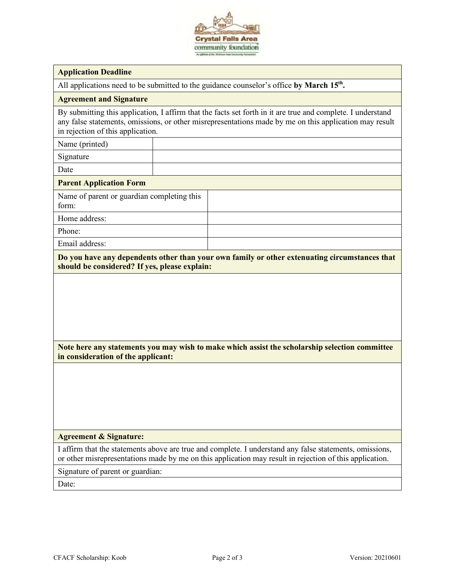

#### **Application Deadline**

All applications need to be submitted to the guidance counselor's office **by March 15th.**

#### **Agreement and Signature**

By submitting this application, I affirm that the facts set forth in it are true and complete. I understand any false statements, omissions, or other misrepresentations made by me on this application may result in rejection of this application.

Name (printed)

Signature

Date

#### **Parent Application Form**

Name of parent or guardian completing this form:

Home address:

Phone:

Email address:

**Do you have any dependents other than your own family or other extenuating circumstances that should be considered? If yes, please explain:**

### **Note here any statements you may wish to make which assist the scholarship selection committee in consideration of the applicant:**

#### **Agreement & Signature:**

I affirm that the statements above are true and complete. I understand any false statements, omissions, or other misrepresentations made by me on this application may result in rejection of this application.

Signature of parent or guardian:

Date: